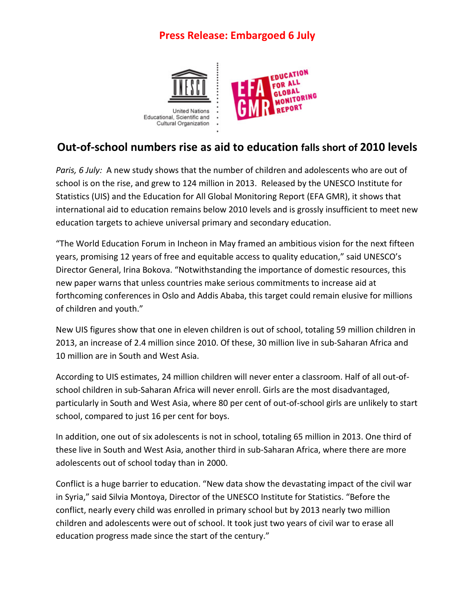# **Press Release: Embargoed 6 July**



# **Out-of-school numbers rise as aid to education falls short of 2010 levels**

*Paris, 6 July:* A new study shows that the number of children and adolescents who are out of school is on the rise, and grew to 124 million in 2013. Released by the UNESCO Institute for Statistics (UIS) and the Education for All Global Monitoring Report (EFA GMR), it shows that international aid to education remains below 2010 levels and is grossly insufficient to meet new education targets to achieve universal primary and secondary education.

"The World Education Forum in Incheon in May framed an ambitious vision for the next fifteen years, promising 12 years of free and equitable access to quality education," said UNESCO's Director General, Irina Bokova. "Notwithstanding the importance of domestic resources, this new paper warns that unless countries make serious commitments to increase aid at forthcoming conferences in Oslo and Addis Ababa, this target could remain elusive for millions of children and youth."

New UIS figures show that one in eleven children is out of school, totaling 59 million children in 2013, an increase of 2.4 million since 2010. Of these, 30 million live in sub-Saharan Africa and 10 million are in South and West Asia.

According to UIS estimates, 24 million children will never enter a classroom. Half of all out-ofschool children in sub-Saharan Africa will never enroll. Girls are the most disadvantaged, particularly in South and West Asia, where 80 per cent of out-of-school girls are unlikely to start school, compared to just 16 per cent for boys.

In addition, one out of six adolescents is not in school, totaling 65 million in 2013. One third of these live in South and West Asia, another third in sub-Saharan Africa, where there are more adolescents out of school today than in 2000.

Conflict is a huge barrier to education. "New data show the devastating impact of the civil war in Syria," said Silvia Montoya, Director of the UNESCO Institute for Statistics. "Before the conflict, nearly every child was enrolled in primary school but by 2013 nearly two million children and adolescents were out of school. It took just two years of civil war to erase all education progress made since the start of the century."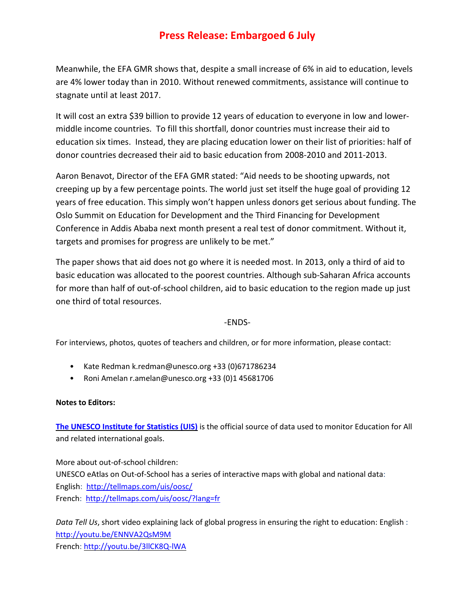## **Press Release: Embargoed 6 July**

Meanwhile, the EFA GMR shows that, despite a small increase of 6% in aid to education, levels are 4% lower today than in 2010. Without renewed commitments, assistance will continue to stagnate until at least 2017.

It will cost an extra \$39 billion to provide 12 years of education to everyone in low and lowermiddle income countries. To fill this shortfall, donor countries must increase their aid to education six times. Instead, they are placing education lower on their list of priorities: half of donor countries decreased their aid to basic education from 2008-2010 and 2011-2013.

Aaron Benavot, Director of the EFA GMR stated: "Aid needs to be shooting upwards, not creeping up by a few percentage points. The world just set itself the huge goal of providing 12 years of free education. This simply won't happen unless donors get serious about funding. The Oslo Summit on Education for Development and the Third Financing for Development Conference in Addis Ababa next month present a real test of donor commitment. Without it, targets and promises for progress are unlikely to be met."

The paper shows that aid does not go where it is needed most. In 2013, only a third of aid to basic education was allocated to the poorest countries. Although sub-Saharan Africa accounts for more than half of out-of-school children, aid to basic education to the region made up just one third of total resources.

### -ENDS-

For interviews, photos, quotes of teachers and children, or for more information, please contact:

- Kate Redman k.redman@unesco.org +33 (0)671786234
- Roni Amelan r.amelan@unesco.org +33 (0)1 45681706

### **Notes to Editors:**

**The UNESCO Institute for [Statistics](http://www.google.com/url?sa=t&rct=j&q=&esrc=s&source=web&cd=4&ved=0CEEQFjAD&url=http%3A%2F%2Fwww.uis.unesco.org%2F&ei=oEugU8utJs2k0AXHm4CgBg&usg=AFQjCNEyHnOdCwXh0Zlu8cXTmKKTqY-CXw&bvm=bv.68911936,d.d2k) (UIS)** is the official source of data used to monitor Education for All and related international goals.

More about out-of-school children: UNESCO eAtlas on Out-of-School has a series of interactive maps with global and national data: English: <http://tellmaps.com/uis/oosc/> French:<http://tellmaps.com/uis/oosc/?lang=fr>

*Data Tell Us*, short video explaining lack of global progress in ensuring the right to education: English : <http://youtu.be/ENNVA2QsM9M> French: <http://youtu.be/3llCK8Q-lWA>